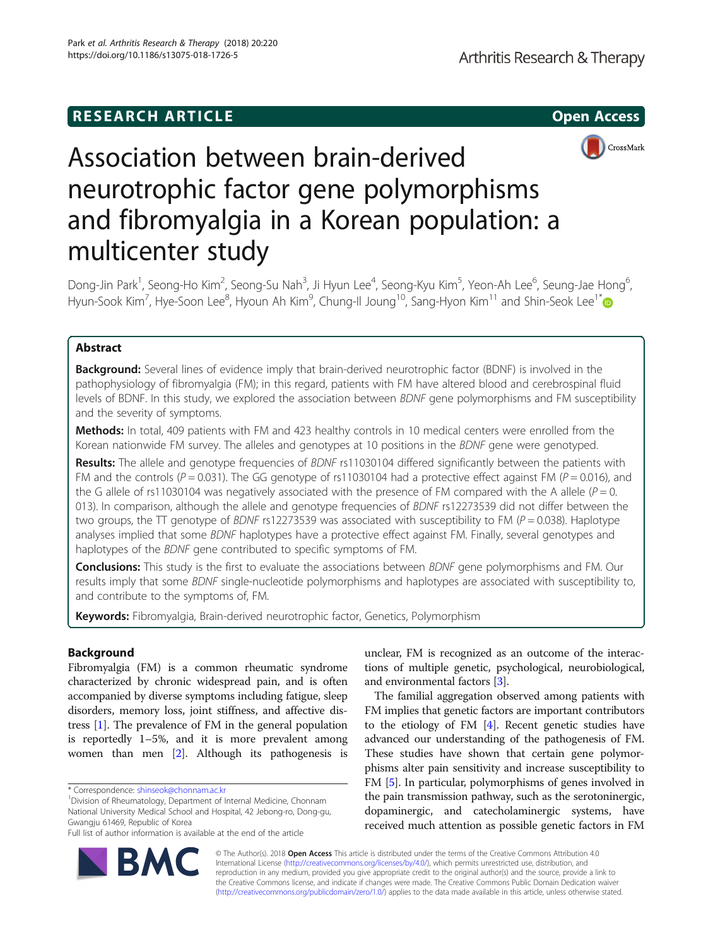# **RESEARCH ARTICLE Example 2014 12:30 The SEAR CH ACCESS**



# Association between brain-derived neurotrophic factor gene polymorphisms and fibromyalgia in a Korean population: a multicenter study

Dong-Jin Park<sup>1</sup>, Seong-Ho Kim<sup>2</sup>, Seong-Su Nah<sup>3</sup>, Ji Hyun Lee<sup>4</sup>, Seong-Kyu Kim<sup>5</sup>, Yeon-Ah Lee<sup>6</sup>, Seung-Jae Hong<sup>6</sup> י<br>, Hyun-Sook Kim<sup>7</sup>, Hye-Soon Lee $^8$ , Hyoun Ah Kim $^9$ , Chung-Il Joung $^{10}$ , Sang-Hyon Kim $^{11}$  and Shin-Seok Lee $^{1*}$  $^{1*}$  $^{1*}$ 

# Abstract

**Background:** Several lines of evidence imply that brain-derived neurotrophic factor (BDNF) is involved in the pathophysiology of fibromyalgia (FM); in this regard, patients with FM have altered blood and cerebrospinal fluid levels of BDNF. In this study, we explored the association between BDNF gene polymorphisms and FM susceptibility and the severity of symptoms.

Methods: In total, 409 patients with FM and 423 healthy controls in 10 medical centers were enrolled from the Korean nationwide FM survey. The alleles and genotypes at 10 positions in the BDNF gene were genotyped.

Results: The allele and genotype frequencies of BDNF rs11030104 differed significantly between the patients with FM and the controls ( $P = 0.031$ ). The GG genotype of rs11030104 had a protective effect against FM ( $P = 0.016$ ), and the G allele of rs11030104 was negatively associated with the presence of FM compared with the A allele ( $P = 0$ . 013). In comparison, although the allele and genotype frequencies of BDNF rs12273539 did not differ between the two groups, the TT genotype of BDNF rs12273539 was associated with susceptibility to FM ( $P = 0.038$ ). Haplotype analyses implied that some BDNF haplotypes have a protective effect against FM. Finally, several genotypes and haplotypes of the BDNF gene contributed to specific symptoms of FM.

Conclusions: This study is the first to evaluate the associations between BDNF gene polymorphisms and FM. Our results imply that some BDNF single-nucleotide polymorphisms and haplotypes are associated with susceptibility to, and contribute to the symptoms of, FM.

Keywords: Fibromyalgia, Brain-derived neurotrophic factor, Genetics, Polymorphism

# Background

Fibromyalgia (FM) is a common rheumatic syndrome characterized by chronic widespread pain, and is often accompanied by diverse symptoms including fatigue, sleep disorders, memory loss, joint stiffness, and affective distress [\[1](#page-9-0)]. The prevalence of FM in the general population is reportedly 1–5%, and it is more prevalent among women than men [[2\]](#page-9-0). Although its pathogenesis is

unclear, FM is recognized as an outcome of the interactions of multiple genetic, psychological, neurobiological, and environmental factors [\[3](#page-9-0)].

The familial aggregation observed among patients with FM implies that genetic factors are important contributors to the etiology of FM [[4\]](#page-9-0). Recent genetic studies have advanced our understanding of the pathogenesis of FM. These studies have shown that certain gene polymorphisms alter pain sensitivity and increase susceptibility to FM [\[5\]](#page-9-0). In particular, polymorphisms of genes involved in the pain transmission pathway, such as the serotoninergic, dopaminergic, and catecholaminergic systems, have received much attention as possible genetic factors in FM



© The Author(s). 2018 Open Access This article is distributed under the terms of the Creative Commons Attribution 4.0 International License [\(http://creativecommons.org/licenses/by/4.0/](http://creativecommons.org/licenses/by/4.0/)), which permits unrestricted use, distribution, and reproduction in any medium, provided you give appropriate credit to the original author(s) and the source, provide a link to the Creative Commons license, and indicate if changes were made. The Creative Commons Public Domain Dedication waiver [\(http://creativecommons.org/publicdomain/zero/1.0/](http://creativecommons.org/publicdomain/zero/1.0/)) applies to the data made available in this article, unless otherwise stated.

<sup>\*</sup> Correspondence: [shinseok@chonnam.ac.kr](mailto:shinseok@chonnam.ac.kr) <sup>1</sup>

<sup>&</sup>lt;sup>1</sup> Division of Rheumatology, Department of Internal Medicine, Chonnam National University Medical School and Hospital, 42 Jebong-ro, Dong-gu, Gwangju 61469, Republic of Korea

Full list of author information is available at the end of the article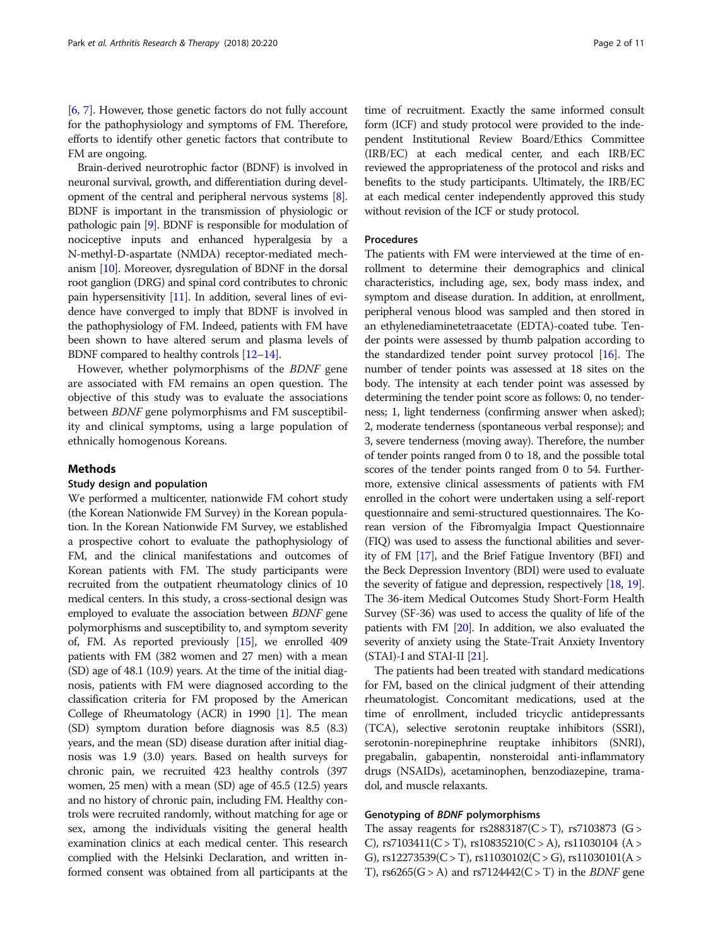[[6,](#page-9-0) [7\]](#page-9-0). However, those genetic factors do not fully account for the pathophysiology and symptoms of FM. Therefore, efforts to identify other genetic factors that contribute to FM are ongoing.

Brain-derived neurotrophic factor (BDNF) is involved in neuronal survival, growth, and differentiation during development of the central and peripheral nervous systems [[8](#page-9-0)]. BDNF is important in the transmission of physiologic or pathologic pain [\[9](#page-9-0)]. BDNF is responsible for modulation of nociceptive inputs and enhanced hyperalgesia by a N-methyl-D-aspartate (NMDA) receptor-mediated mechanism [\[10\]](#page-10-0). Moreover, dysregulation of BDNF in the dorsal root ganglion (DRG) and spinal cord contributes to chronic pain hypersensitivity [[11](#page-10-0)]. In addition, several lines of evidence have converged to imply that BDNF is involved in the pathophysiology of FM. Indeed, patients with FM have been shown to have altered serum and plasma levels of BDNF compared to healthy controls [\[12](#page-10-0)–[14](#page-10-0)].

However, whether polymorphisms of the BDNF gene are associated with FM remains an open question. The objective of this study was to evaluate the associations between BDNF gene polymorphisms and FM susceptibility and clinical symptoms, using a large population of ethnically homogenous Koreans.

# Methods

# Study design and population

We performed a multicenter, nationwide FM cohort study (the Korean Nationwide FM Survey) in the Korean population. In the Korean Nationwide FM Survey, we established a prospective cohort to evaluate the pathophysiology of FM, and the clinical manifestations and outcomes of Korean patients with FM. The study participants were recruited from the outpatient rheumatology clinics of 10 medical centers. In this study, a cross-sectional design was employed to evaluate the association between BDNF gene polymorphisms and susceptibility to, and symptom severity of, FM. As reported previously [\[15\]](#page-10-0), we enrolled 409 patients with FM (382 women and 27 men) with a mean (SD) age of 48.1 (10.9) years. At the time of the initial diagnosis, patients with FM were diagnosed according to the classification criteria for FM proposed by the American College of Rheumatology (ACR) in [1](#page-9-0)990  $[1]$ . The mean (SD) symptom duration before diagnosis was 8.5 (8.3) years, and the mean (SD) disease duration after initial diagnosis was 1.9 (3.0) years. Based on health surveys for chronic pain, we recruited 423 healthy controls (397 women, 25 men) with a mean (SD) age of 45.5 (12.5) years and no history of chronic pain, including FM. Healthy controls were recruited randomly, without matching for age or sex, among the individuals visiting the general health examination clinics at each medical center. This research complied with the Helsinki Declaration, and written informed consent was obtained from all participants at the

time of recruitment. Exactly the same informed consult form (ICF) and study protocol were provided to the independent Institutional Review Board/Ethics Committee (IRB/EC) at each medical center, and each IRB/EC reviewed the appropriateness of the protocol and risks and benefits to the study participants. Ultimately, the IRB/EC at each medical center independently approved this study without revision of the ICF or study protocol.

# Procedures

The patients with FM were interviewed at the time of enrollment to determine their demographics and clinical characteristics, including age, sex, body mass index, and symptom and disease duration. In addition, at enrollment, peripheral venous blood was sampled and then stored in an ethylenediaminetetraacetate (EDTA)-coated tube. Tender points were assessed by thumb palpation according to the standardized tender point survey protocol [\[16\]](#page-10-0). The number of tender points was assessed at 18 sites on the body. The intensity at each tender point was assessed by determining the tender point score as follows: 0, no tenderness; 1, light tenderness (confirming answer when asked); 2, moderate tenderness (spontaneous verbal response); and 3, severe tenderness (moving away). Therefore, the number of tender points ranged from 0 to 18, and the possible total scores of the tender points ranged from 0 to 54. Furthermore, extensive clinical assessments of patients with FM enrolled in the cohort were undertaken using a self-report questionnaire and semi-structured questionnaires. The Korean version of the Fibromyalgia Impact Questionnaire (FIQ) was used to assess the functional abilities and severity of FM [[17](#page-10-0)], and the Brief Fatigue Inventory (BFI) and the Beck Depression Inventory (BDI) were used to evaluate the severity of fatigue and depression, respectively [\[18,](#page-10-0) [19](#page-10-0)]. The 36-item Medical Outcomes Study Short-Form Health Survey (SF-36) was used to access the quality of life of the patients with FM [[20](#page-10-0)]. In addition, we also evaluated the severity of anxiety using the State-Trait Anxiety Inventory (STAI)-I and STAI-II [\[21\]](#page-10-0).

The patients had been treated with standard medications for FM, based on the clinical judgment of their attending rheumatologist. Concomitant medications, used at the time of enrollment, included tricyclic antidepressants (TCA), selective serotonin reuptake inhibitors (SSRI), serotonin-norepinephrine reuptake inhibitors (SNRI), pregabalin, gabapentin, nonsteroidal anti-inflammatory drugs (NSAIDs), acetaminophen, benzodiazepine, tramadol, and muscle relaxants.

# Genotyping of BDNF polymorphisms

The assay reagents for  $rs2883187(C > T)$ ,  $rs7103873(G > T)$ C), rs7103411(C > T), rs10835210(C > A), rs11030104 (A > G),  $rs12273539(C > T)$ ,  $rs11030102(C > G)$ ,  $rs11030101(A >$ T),  $rs6265(G > A)$  and  $rs7124442(C > T)$  in the *BDNF* gene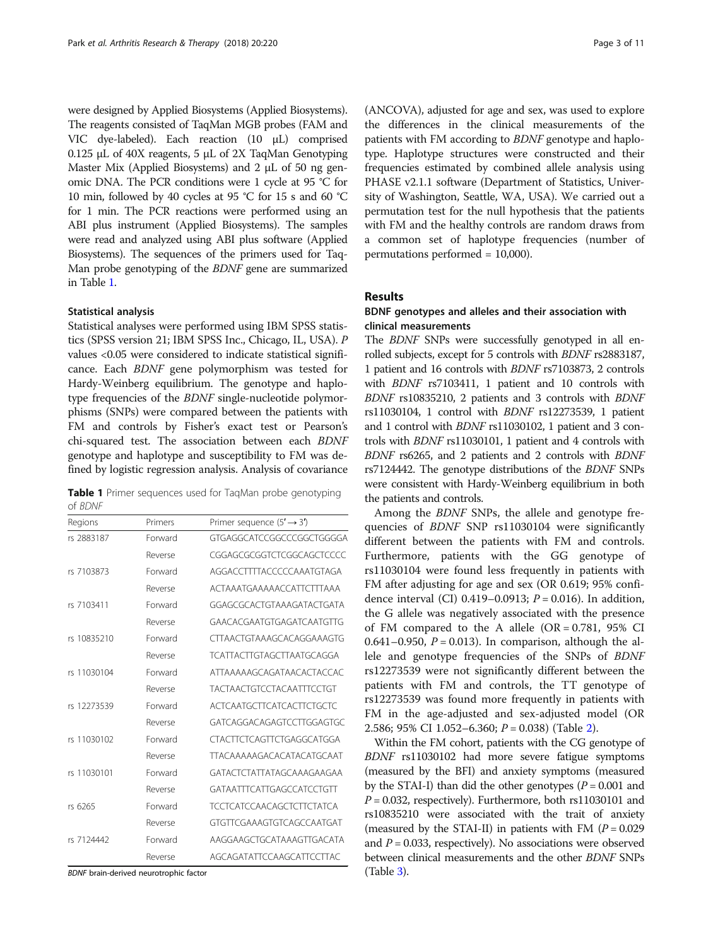were designed by Applied Biosystems (Applied Biosystems). The reagents consisted of TaqMan MGB probes (FAM and VIC dye-labeled). Each reaction (10 μL) comprised 0.125 μL of 40X reagents, 5 μL of 2X TaqMan Genotyping Master Mix (Applied Biosystems) and 2 μL of 50 ng genomic DNA. The PCR conditions were 1 cycle at 95 °C for 10 min, followed by 40 cycles at 95 °C for 15 s and 60 °C for 1 min. The PCR reactions were performed using an ABI plus instrument (Applied Biosystems). The samples were read and analyzed using ABI plus software (Applied Biosystems). The sequences of the primers used for Taq-Man probe genotyping of the BDNF gene are summarized in Table 1.

## Statistical analysis

Statistical analyses were performed using IBM SPSS statistics (SPSS version 21; IBM SPSS Inc., Chicago, IL, USA). P values <0.05 were considered to indicate statistical significance. Each BDNF gene polymorphism was tested for Hardy-Weinberg equilibrium. The genotype and haplotype frequencies of the BDNF single-nucleotide polymorphisms (SNPs) were compared between the patients with FM and controls by Fisher's exact test or Pearson's chi-squared test. The association between each BDNF genotype and haplotype and susceptibility to FM was defined by logistic regression analysis. Analysis of covariance

Table 1 Primer sequences used for TaqMan probe genotyping of BDNF

| Regions     | Primers | Primer sequence $(5' \rightarrow 3')$ |
|-------------|---------|---------------------------------------|
| rs 2883187  | Forward | GTGAGGCATCCGGCCCGGCTGGGGA             |
|             | Reverse | CGGAGCGCGGTCTCGGCAGCTCCCC             |
| rs 7103873  | Forward | AGGACCTTTTACCCCCAAATGTAGA             |
|             | Reverse | ACTAAATGAAAAACCATTCTTTAAA             |
| rs 7103411  | Forward | GGAGCGCACTGTAAAGATACTGATA             |
|             | Reverse | GAACACGAATGTGAGATCAATGTTG             |
| rs 10835210 | Forward | CTTAACTGTAAAGCACAGGAAAGTG             |
|             | Reverse | <b>TCATTACTTGTAGCTTAATGCAGGA</b>      |
| rs 11030104 | Forward | <b>ATTAAAAAGCAGATAACACTACCAC</b>      |
|             | Reverse | <b>TACTAACTGTCCTACAATTTCCTGT</b>      |
| rs 12273539 | Forward | <b>ACTCAATGCTTCATCACTTCTGCTC</b>      |
|             | Reverse | GATCAGGACAGAGTCCTTGGAGTGC             |
| rs 11030102 | Forward | <b>CTACTTCTCAGTTCTGAGGCATGGA</b>      |
|             | Reverse | <b>TTACAAAAAGACACATACATGCAAT</b>      |
| rs 11030101 | Forward | GATACTCTATTATAGCAAAGAAGAA             |
|             | Reverse | GATAATTTCATTGAGCCATCCTGTT             |
| rs 6265     | Forward | <b>TCCTCATCCAACAGCTCTTCTATCA</b>      |
|             | Reverse | GTGTTCGAAAGTGTCAGCCAATGAT             |
| rs 7124442  | Forward | AAGGAAGCTGCATAAAGTTGACATA             |
|             | Reverse | AGCAGATATTCCAAGCATTCCTTAC             |

BDNF brain-derived neurotrophic factor

(ANCOVA), adjusted for age and sex, was used to explore the differences in the clinical measurements of the patients with FM according to BDNF genotype and haplotype. Haplotype structures were constructed and their frequencies estimated by combined allele analysis using PHASE v2.1.1 software (Department of Statistics, University of Washington, Seattle, WA, USA). We carried out a permutation test for the null hypothesis that the patients with FM and the healthy controls are random draws from a common set of haplotype frequencies (number of permutations performed = 10,000).

# Results

# BDNF genotypes and alleles and their association with clinical measurements

The *BDNF* SNPs were successfully genotyped in all enrolled subjects, except for 5 controls with BDNF rs2883187, 1 patient and 16 controls with BDNF rs7103873, 2 controls with BDNF rs7103411, 1 patient and 10 controls with BDNF rs10835210, 2 patients and 3 controls with BDNF rs11030104, 1 control with BDNF rs12273539, 1 patient and 1 control with BDNF rs11030102, 1 patient and 3 controls with BDNF rs11030101, 1 patient and 4 controls with BDNF rs6265, and 2 patients and 2 controls with BDNF rs7124442. The genotype distributions of the BDNF SNPs were consistent with Hardy-Weinberg equilibrium in both the patients and controls.

Among the BDNF SNPs, the allele and genotype frequencies of BDNF SNP rs11030104 were significantly different between the patients with FM and controls. Furthermore, patients with the GG genotype of rs11030104 were found less frequently in patients with FM after adjusting for age and sex (OR 0.619; 95% confidence interval (CI)  $0.419 - 0.0913$ ;  $P = 0.016$ ). In addition, the G allele was negatively associated with the presence of FM compared to the A allele  $(OR = 0.781, 95\% \text{ CI})$ 0.641–0.950,  $P = 0.013$ ). In comparison, although the allele and genotype frequencies of the SNPs of BDNF rs12273539 were not significantly different between the patients with FM and controls, the TT genotype of rs12273539 was found more frequently in patients with FM in the age-adjusted and sex-adjusted model (OR 2.586; 95% CI 1.052–6.360;  $P = 0.038$ ) (Table [2\)](#page-3-0).

Within the FM cohort, patients with the CG genotype of BDNF rs11030102 had more severe fatigue symptoms (measured by the BFI) and anxiety symptoms (measured by the STAI-I) than did the other genotypes ( $P = 0.001$  and  $P = 0.032$ , respectively). Furthermore, both rs11030101 and rs10835210 were associated with the trait of anxiety (measured by the STAI-II) in patients with FM  $(P = 0.029)$ and  $P = 0.033$ , respectively). No associations were observed between clinical measurements and the other BDNF SNPs (Table [3\)](#page-5-0).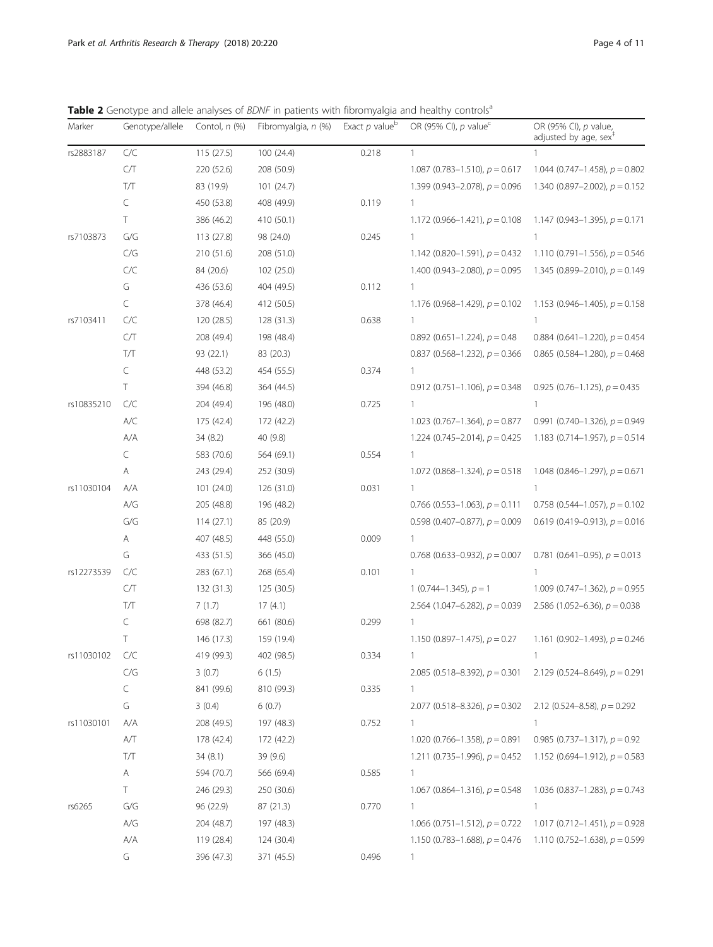<span id="page-3-0"></span>Table 2 Genotype and allele analyses of BDNF in patients with fibromyalgia and healthy controls<sup>a</sup>

| Marker     | Genotype/allele | Contol, n (%) | Fibromyalgia, n (%) | Exact $p$ value <sup>b</sup> | OR (95% CI), $p$ value <sup>c</sup>   | OR (95% CI), p value,<br>adjusted by age, sex <sup>+</sup> |
|------------|-----------------|---------------|---------------------|------------------------------|---------------------------------------|------------------------------------------------------------|
| rs2883187  | C/C             | 115(27.5)     | 100(24.4)           | 0.218                        | $\mathbf{1}$                          | 1                                                          |
|            | C/T             | 220 (52.6)    | 208 (50.9)          |                              | 1.087 (0.783-1.510), $p = 0.617$      | 1.044 (0.747-1.458), $p = 0.802$                           |
|            | T/T             | 83 (19.9)     | 101 (24.7)          |                              | 1.399 (0.943-2.078), $p = 0.096$      | 1.340 (0.897-2.002), $p = 0.152$                           |
|            | C               | 450 (53.8)    | 408 (49.9)          | 0.119                        | $\mathbf{1}$                          |                                                            |
|            | Τ               | 386 (46.2)    | 410 (50.1)          |                              | 1.172 $(0.966 - 1.421)$ , $p = 0.108$ | 1.147 (0.943–1.395), $p = 0.171$                           |
| rs7103873  | G/G             | 113 (27.8)    | 98 (24.0)           | 0.245                        | $\mathbf{1}$                          | 1                                                          |
|            | C/G             | 210 (51.6)    | 208 (51.0)          |                              | 1.142 $(0.820-1.591)$ , $p = 0.432$   | 1.110 (0.791–1.556), $p = 0.546$                           |
|            | C/C             | 84 (20.6)     | 102 (25.0)          |                              | 1.400 $(0.943 - 2.080)$ , $p = 0.095$ | 1.345 (0.899-2.010), $p = 0.149$                           |
|            | G               | 436 (53.6)    | 404 (49.5)          | 0.112                        | $\mathbf{1}$                          |                                                            |
|            | $\subset$       | 378 (46.4)    | 412 (50.5)          |                              | 1.176 (0.968–1.429), $p = 0.102$      | 1.153 (0.946-1.405), $p = 0.158$                           |
| rs7103411  | C/C             | 120 (28.5)    | 128 (31.3)          | 0.638                        | $\mathbf{1}$                          | 1                                                          |
|            | C/T             | 208 (49.4)    | 198 (48.4)          |                              | 0.892 (0.651-1.224), $p = 0.48$       | 0.884 (0.641-1.220), $p = 0.454$                           |
|            | T/T             | 93 (22.1)     | 83 (20.3)           |                              | $0.837$ (0.568-1.232), $p = 0.366$    | 0.865 $(0.584 - 1.280)$ , $p = 0.468$                      |
|            | $\subset$       | 448 (53.2)    | 454 (55.5)          | 0.374                        | $\mathbf{1}$                          |                                                            |
|            | T.              | 394 (46.8)    | 364 (44.5)          |                              | 0.912 (0.751-1.106), $p = 0.348$      | 0.925 (0.76-1.125), $p = 0.435$                            |
| rs10835210 | C/C             | 204 (49.4)    | 196 (48.0)          | 0.725                        | 1                                     | $\mathbf{1}$                                               |
|            | A/C             | 175 (42.4)    | 172 (42.2)          |                              | 1.023 (0.767-1.364), $p = 0.877$      | 0.991 (0.740-1.326), $p = 0.949$                           |
|            | A/A             | 34 (8.2)      | 40 (9.8)            |                              | 1.224 (0.745-2.014), $p = 0.425$      | 1.183 (0.714-1.957), $p = 0.514$                           |
|            | C               | 583 (70.6)    | 564 (69.1)          | 0.554                        | $\mathbf{1}$                          |                                                            |
|            | Α               | 243 (29.4)    | 252 (30.9)          |                              | 1.072 (0.868–1.324), $p = 0.518$      | 1.048 $(0.846 - 1.297)$ , $p = 0.671$                      |
| rs11030104 | A/A             | 101 (24.0)    | 126 (31.0)          | 0.031                        | $\mathbf{1}$                          | $\mathbf{1}$                                               |
|            | A/G             | 205 (48.8)    | 196 (48.2)          |                              | 0.766 (0.553–1.063), $p = 0.111$      | 0.758 (0.544–1.057), $p = 0.102$                           |
|            | G/G             | 114(27.1)     | 85 (20.9)           |                              | 0.598 (0.407-0.877), $p = 0.009$      | 0.619 (0.419–0.913), $p = 0.016$                           |
|            | Α               | 407 (48.5)    | 448 (55.0)          | 0.009                        | $\mathbf{1}$                          |                                                            |
|            | G               | 433 (51.5)    | 366 (45.0)          |                              | 0.768 (0.633-0.932), $p = 0.007$      | 0.781 (0.641-0.95), $p = 0.013$                            |
| rs12273539 | C/C             | 283 (67.1)    | 268 (65.4)          | 0.101                        |                                       |                                                            |
|            | C/T             | 132 (31.3)    | 125 (30.5)          |                              | 1 $(0.744-1.345)$ , $p = 1$           | 1.009 (0.747-1.362), $p = 0.955$                           |
|            | T/T             | 7(1.7)        | 17(4.1)             |                              | 2.564 (1.047-6.282), $p = 0.039$      | 2.586 (1.052-6.36), $p = 0.038$                            |
|            | C               | 698 (82.7)    | 661 (80.6)          | 0.299                        | $\mathbf{1}$                          |                                                            |
|            | Т               | 146 (17.3)    | 159 (19.4)          |                              | 1.150 (0.897-1.475), $p = 0.27$       | 1.161 (0.902-1.493), $p = 0.246$                           |
| rs11030102 | C/C             | 419 (99.3)    | 402 (98.5)          | 0.334                        |                                       |                                                            |
|            | C/G             | 3(0.7)        | 6(1.5)              |                              | 2.085 (0.518–8.392), $p = 0.301$      | 2.129 (0.524–8.649), $p = 0.291$                           |
|            | C               | 841 (99.6)    | 810 (99.3)          | 0.335                        | $\mathbf{1}$                          |                                                            |
|            | G               | 3(0.4)        | 6(0.7)              |                              | 2.077 (0.518–8.326), $p = 0.302$      | 2.12 (0.524–8.58), $p = 0.292$                             |
| rs11030101 | A/A             | 208 (49.5)    | 197 (48.3)          | 0.752                        | 1                                     | $\mathbf{1}$                                               |
|            | AЛ              | 178 (42.4)    | 172 (42.2)          |                              | 1.020 (0.766-1.358), $p = 0.891$      | $0.985(0.737-1.317), p = 0.92$                             |
|            | Т/Т             | 34(8.1)       | 39 (9.6)            |                              | 1.211 (0.735–1.996), $p = 0.452$      | 1.152 (0.694–1.912), $p = 0.583$                           |
|            | A               | 594 (70.7)    | 566 (69.4)          | 0.585                        | $\mathbf{1}$                          |                                                            |
|            | T.              | 246 (29.3)    | 250 (30.6)          |                              | 1.067 (0.864–1.316), $p = 0.548$      | 1.036 (0.837-1.283), $p = 0.743$                           |
| rs6265     | G/G             | 96 (22.9)     | 87(21.3)            | 0.770                        | $\mathbf{1}$                          | 1                                                          |
|            | A/G             | 204 (48.7)    | 197 (48.3)          |                              | 1.066 (0.751-1.512), $p = 0.722$      | 1.017 (0.712-1.451), $p = 0.928$                           |
|            | A/A             | 119 (28.4)    | 124 (30.4)          |                              | 1.150 (0.783-1.688), $p = 0.476$      | 1.110 (0.752–1.638), $p = 0.599$                           |
|            | G               | 396 (47.3)    | 371 (45.5)          | 0.496                        | $\mathbf{1}$                          |                                                            |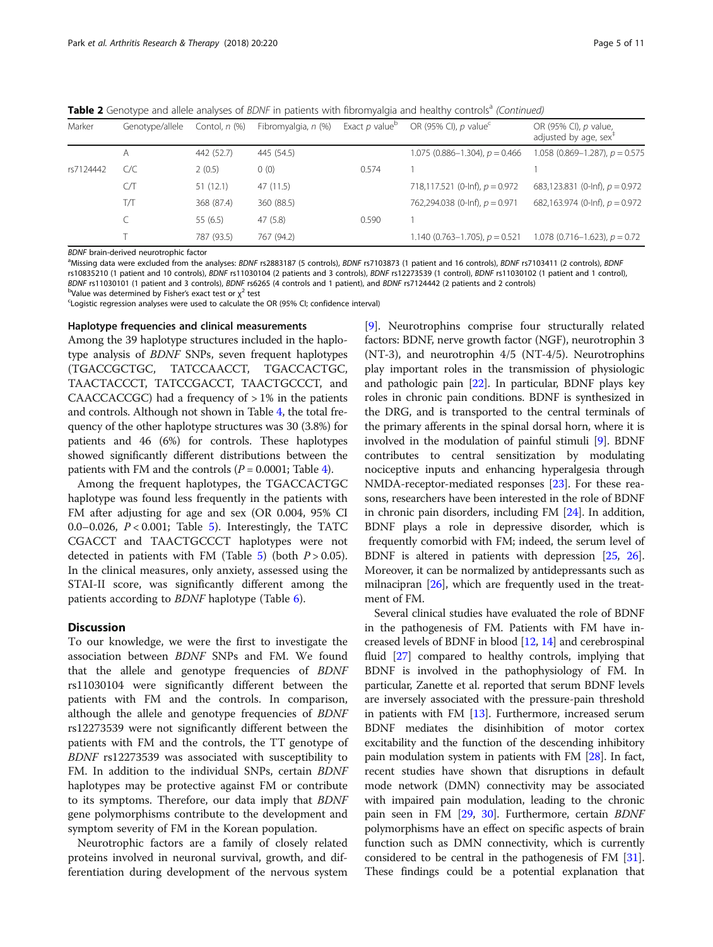Table 2 Genotype and allele analyses of BDNF in patients with fibromyalgia and healthy controls<sup>a</sup> (Continued)

| Marker    | Genotype/allele | Contol, $n$ $%$ | Fibromyalgia, n (%) | Exact p value <sup>b</sup> | OR (95% CI), p value <sup>c</sup> | OR (95% CI), p value,<br>adjusted by age, sex <sup>+</sup> |
|-----------|-----------------|-----------------|---------------------|----------------------------|-----------------------------------|------------------------------------------------------------|
|           | Α               | 442 (52.7)      | 445 (54.5)          |                            | 1.075 (0.886-1.304), $p = 0.466$  | 1.058 (0.869-1.287), $p = 0.575$                           |
| rs7124442 | C/C             | 2(0.5)          | 0(0)                | 0.574                      |                                   |                                                            |
|           | CЛ              | 51(12.1)        | 47 (11.5)           |                            | 718,117.521 (0-lnf), $p = 0.972$  | 683,123.831 (0-lnf), $p = 0.972$                           |
|           | Т/Т             | 368 (87.4)      | 360 (88.5)          |                            | 762,294.038 (0-lnf), $p = 0.971$  | 682,163.974 (0-lnf), $p = 0.972$                           |
|           |                 | 55(6.5)         | 47(5.8)             | 0.590                      |                                   |                                                            |
|           |                 | 787 (93.5)      | 767 (94.2)          |                            | 1.140 (0.763-1.705), $p = 0.521$  | 1.078 (0.716-1.623), $p = 0.72$                            |

BDNF brain-derived neurotrophic factor

<sup>a</sup>Missing data were excluded from the analyses: BDNF rs2883187 (5 controls), BDNF rs7103873 (1 patient and 16 controls), BDNF rs7103411 (2 controls), BDNF rs10835210 (1 patient and 10 controls), BDNF rs11030104 (2 patients and 3 controls), BDNF rs12273539 (1 control), BDNF rs11030102 (1 patient and 1 control), BDNF rs11030101 (1 patient and 3 controls), BDNF rs6265 (4 controls and 1 patient), and BDNF rs7124442 (2 patients and 2 controls)

<sup>b</sup>Value was determined by Fisher's exact test or  $\chi^2$  test

Logistic regression analyses were used to calculate the OR (95% CI; confidence interval)

# Haplotype frequencies and clinical measurements

Among the 39 haplotype structures included in the haplotype analysis of BDNF SNPs, seven frequent haplotypes (TGACCGCTGC, TATCCAACCT, TGACCACTGC, TAACTACCCT, TATCCGACCT, TAACTGCCCT, and CAACCACCGC) had a frequency of  $> 1\%$  in the patients and controls. Although not shown in Table [4,](#page-7-0) the total frequency of the other haplotype structures was 30 (3.8%) for patients and 46 (6%) for controls. These haplotypes showed significantly different distributions between the patients with FM and the controls  $(P = 0.0001;$  Table [4\)](#page-7-0).

Among the frequent haplotypes, the TGACCACTGC haplotype was found less frequently in the patients with FM after adjusting for age and sex (OR 0.004, 95% CI 0.0–0.026,  $P < 0.001$ ; Table [5](#page-7-0)). Interestingly, the TATC CGACCT and TAACTGCCCT haplotypes were not detected in patients with FM (Table [5\)](#page-7-0) (both  $P > 0.05$ ). In the clinical measures, only anxiety, assessed using the STAI-II score, was significantly different among the patients according to BDNF haplotype (Table [6](#page-8-0)).

# Discussion

To our knowledge, we were the first to investigate the association between BDNF SNPs and FM. We found that the allele and genotype frequencies of BDNF rs11030104 were significantly different between the patients with FM and the controls. In comparison, although the allele and genotype frequencies of BDNF rs12273539 were not significantly different between the patients with FM and the controls, the TT genotype of BDNF rs12273539 was associated with susceptibility to FM. In addition to the individual SNPs, certain BDNF haplotypes may be protective against FM or contribute to its symptoms. Therefore, our data imply that BDNF gene polymorphisms contribute to the development and symptom severity of FM in the Korean population.

Neurotrophic factors are a family of closely related proteins involved in neuronal survival, growth, and differentiation during development of the nervous system

[[9\]](#page-9-0). Neurotrophins comprise four structurally related factors: BDNF, nerve growth factor (NGF), neurotrophin 3 (NT-3), and neurotrophin 4/5 (NT-4/5). Neurotrophins play important roles in the transmission of physiologic and pathologic pain [[22](#page-10-0)]. In particular, BDNF plays key roles in chronic pain conditions. BDNF is synthesized in the DRG, and is transported to the central terminals of the primary afferents in the spinal dorsal horn, where it is involved in the modulation of painful stimuli [\[9](#page-9-0)]. BDNF contributes to central sensitization by modulating nociceptive inputs and enhancing hyperalgesia through NMDA-receptor-mediated responses [[23](#page-10-0)]. For these reasons, researchers have been interested in the role of BDNF in chronic pain disorders, including FM [\[24](#page-10-0)]. In addition, BDNF plays a role in depressive disorder, which is frequently comorbid with FM; indeed, the serum level of BDNF is altered in patients with depression [\[25,](#page-10-0) [26](#page-10-0)]. Moreover, it can be normalized by antidepressants such as milnacipran  $[26]$  $[26]$ , which are frequently used in the treatment of FM.

Several clinical studies have evaluated the role of BDNF in the pathogenesis of FM. Patients with FM have increased levels of BDNF in blood [\[12,](#page-10-0) [14\]](#page-10-0) and cerebrospinal fluid [\[27\]](#page-10-0) compared to healthy controls, implying that BDNF is involved in the pathophysiology of FM. In particular, Zanette et al. reported that serum BDNF levels are inversely associated with the pressure-pain threshold in patients with FM [\[13](#page-10-0)]. Furthermore, increased serum BDNF mediates the disinhibition of motor cortex excitability and the function of the descending inhibitory pain modulation system in patients with FM [\[28\]](#page-10-0). In fact, recent studies have shown that disruptions in default mode network (DMN) connectivity may be associated with impaired pain modulation, leading to the chronic pain seen in FM [[29](#page-10-0), [30](#page-10-0)]. Furthermore, certain BDNF polymorphisms have an effect on specific aspects of brain function such as DMN connectivity, which is currently considered to be central in the pathogenesis of FM [[31](#page-10-0)]. These findings could be a potential explanation that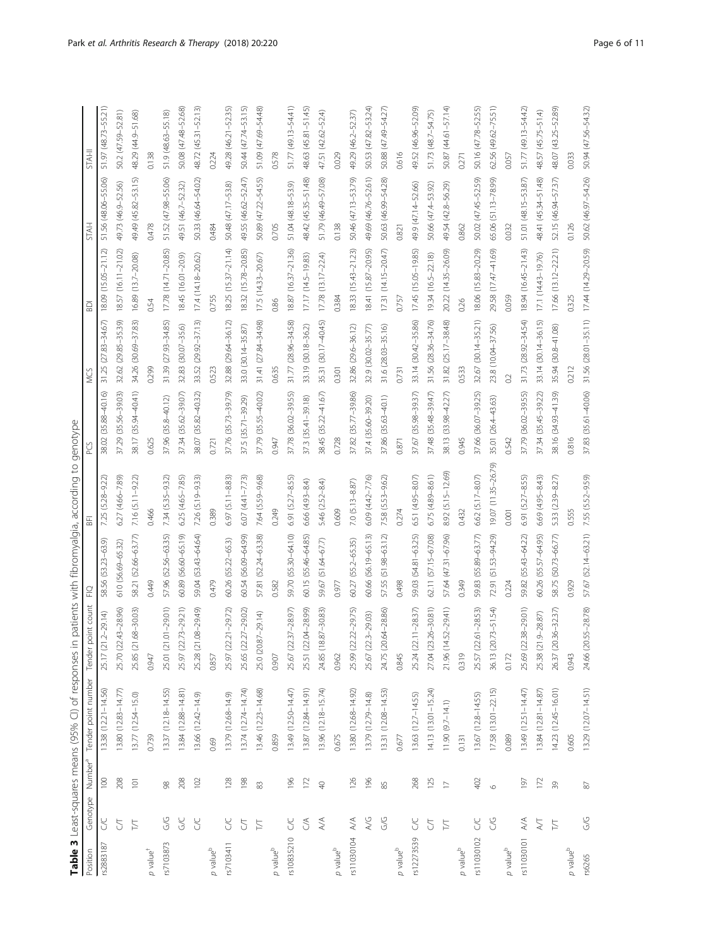<span id="page-5-0"></span>

|                           |                              |                          | Table 3 Least-squares means (95% CI) of responses in |                              | patients with fibromyalgia, according to |                     | genotype            |                     |                     |                     |                            |
|---------------------------|------------------------------|--------------------------|------------------------------------------------------|------------------------------|------------------------------------------|---------------------|---------------------|---------------------|---------------------|---------------------|----------------------------|
| Position                  | Genotype                     |                          | Number <sup>a</sup> Tender point number Tender p     | oint count                   | $\frac{1}{2}$                            | 뚦                   | g                   | Š                   | 6                   | STAH-I              | <b>STAI-II</b>             |
| rs2883187                 | S                            | 100                      | $13.38(12.21 - 14.56)$                               | $2 - 29.14$<br>25.17 (21     | 58.56 (53.23-63.9)                       | 7.25 (5.28-9.22)    | 38.02 (35.88-40.16) | 31.25 (27.83-34.67) | 18.09 (15.05-21.12) | 51.56 (48.06-55.06) | 51.97 (48.73-55.21)        |
|                           | 5                            | 208                      | 13.80 (12.83-14.77)                                  | 25.70 (22.43-28.96)          | 610 (56.69-65.32)                        | 6.27 (4.66-7.89)    | 37.29 (35.56-39.03) | 32.62 (29.85-35.39) | 18.57 (16.11-21.02) | 49.73 (46.9-52.56)  | 50.2 (47.59-52.81)         |
|                           | $\overline{\mathcal{L}}$     | $\Xi$                    | 13.77 (12.54-15.0)                                   | $.68 - 30.03$<br>25.85 (21.  | 58.21 (52.66-63.77)                      | 7.16 (5.11-9.22)    | 38.17 (35.94-40.41) | 34.26 (30.69-37.83) | 16.89 (13.7-20.08)  | 49.49 (45.82-53.15) | 48.29 (44.9-51.68)         |
| $\rho$ value <sup>†</sup> |                              |                          | 0.739                                                | 0.947                        | 0.449                                    | 0.466               | 0.625               | 0.299               | 0.54                | 0.478               | 0.138                      |
| rs7103873                 | SG                           | 88                       | 13.37 (12.18-14.55)                                  | $(10.62 - 10)$<br>25.01 (21. | 57.96 (52.56-63.35)                      | 7.34 (5.35-9.32)    | 37.96 (35.8-40.12)  | 31.39 (27.93-34.85) | 17.78 (14.71-20.85) | 51.52 (47.98-55.06) | 51.9 (48.63-55.18)         |
|                           | SC                           | 208                      | 13.84 (12.88-14.81)                                  | 25.97 (22.73-29.21)          | 60.89 (56.60-65.19)                      | 6.25 (4.65-7.85)    | 37.34 (35.62-39.07) | 32.83 (30.07-35.6)  | 18.45 (16.01-20.9)  | 49.51 (46.7-52.32)  | 50.08 (47.48-52.68)        |
|                           | S                            | 102                      | 13.66 (12.42-14.9)                                   | $(64-29.49)$<br>25.28 (21.   | $(53.43 - 64.64)$<br>59.04               | 7.26 (5.19-9.33)    | 38.07 (35.82-40.32) | 33.52 (29.92-37.13) | 17.4 (14.18-20.62)  | 50.33 (46.64-54.02) | 48.72 (45.31-52.13)        |
| $\rho$ value <sup>b</sup> |                              |                          | 0.69                                                 | 0.857                        | 0.479                                    | 0.389               | 0.721               | 0.523               | 0.755               | 0.484               | 0.224                      |
| rs7103411                 | S                            | 128                      | 13.79 (12.68-14.9)                                   | $.21 - 29.72$<br>25.97 (22   | 60.26 (55.22-65.3)                       | 6.97 (5.11-8.83)    | 37.76 (35.73-39.79) | 32.88 (29.64-36.12) | 18.25 (15.37-21.14) | 50.48 (47.17-53.8)  | 49.28 (46.21-52.35)        |
|                           | 5                            | 198                      | 13.74 (12.74-14.74)                                  | 25.65 (22.27-29.02)          | 60.54 (56.09-64.99)                      | 6.07 (4.41-7.73)    | 37.5 (35.71-39.29)  | 33.0 (30.14-35.87)  | 18.32 (15.78-20.85) | 49.55 (46.62-52.47) | 50.44 (47.74-53.15)        |
|                           | $\overline{\mathbb{F}}$      | 83                       | 13.46 (12.23-14.68)                                  | 25.0 (20.87-29.14)           | $(52.24 - 63.38)$<br>57.81               | 7.64 (5.59-9.68)    | 37.79 (35.55-40.02) | 31.41 (27.84-34.98) | 17.5 (14.33-20.67)  | 50.89 (47.22-54.55) | 51.09 (47.69-54.48)        |
| $\rho$ value $^{\rm d}$   |                              |                          | 0.859                                                | 0.907                        | 0.582                                    | 0.249               | 0.947               | 0.635               | 0.86                | 0.705               | 0.578                      |
| rs10835210                | S                            | 196                      | 13.49 (12.50-14.47)                                  | $.37 - 28.97$<br>25.67 (22.  | 59.70 (55.30-64.10)                      | 6.91 (5.27-8.55)    | 37.78 (36.02-39.55) | 31.77 (28.96-34.58) | 18.87 (16.37-21.36) | 51.04 (48.18-53.9)  | 51.77 (49.13-54.41)        |
|                           | S                            | 172                      | 13.87 (12.84-14.91)                                  | 25.51 (22.04-28.99)          | $(55.46 - 64.85)$<br>60.15               | 6.66 (4.93-8.4)     | 37.3 (35.41-39.18)  | 33.19 (30.18-36.2)  | 17.17 (14.5-19.83)  | 48.42 (45.35-51.48) | 48.63 (45.81-51.45)        |
|                           | $\stackrel{\triangle}{\sim}$ | $\ominus$                | 13.96 (12.18-15.74)                                  | $.87 - 30.83$<br>24.85 (18   | 59.67 (51.64-67.7)                       | 5.46 (2.52-8.4)     | 38.45 (35.22-41.67) | 35.31 (30.17-40.45) | 17.78 (13.17-22.4)  | 51.79 (46.49-57.08) | 47.51 (42.62-52.4)         |
| $\rho$ value $^{\rm d}$   |                              |                          | 0.675                                                | 0.962                        | 0.977                                    | 0.609               | 0.728               | 0.301               | 0.384               | 0.138               | 0.029                      |
| rs11030104                | $\mathbb{A}\mathbb{A}$       | 126                      | 13.80 (12.68-14.92)                                  | $.22 - 29.75$<br>25.99 (22   | 60.27 (55.2-65.35)                       | 7.0 (5.13-8.87)     | 37.82 (35.77-39.86) | 32.86 (29.6-36.12)  | 18.33 (15.43-21.23) | 50.46 (47.13-53.79) | 49.29 (46.2-52.37)         |
|                           | <b>A/G</b>                   | 196                      | 13.79 (12.79-14.8)                                   | $2.3 - 29.03$<br>25.67 (22)  | 60.66 (56.19-65.13)                      | 6.09 (4.42-7.76)    | 37.4 (35.60-39.20)  | 32.9 (30.02-35.77)  | 18.41 (15.87-20.95) | 49.69 (46.76-52.61) | 50.53 (47.82-53.24)        |
|                           | $\frac{C}{G}$                | 85                       | 13.31 (12.08-14.53)                                  | $.64 - 28.86$<br>24.75 (20.  | $(51.98 - 63.12)$<br>57.55               | 7.58 (5.53-9.62)    | 37.86 (35.63-40.1)  | 31.6 (28.03-35.16)  | 17.31 (14.15-20.47) | 50.63 (46.99-54.28) | 50.88 (47.49-54.27)        |
| $\rho$ value $^{\rm d}$   |                              |                          | 0.677                                                | 0.845                        | 0.498                                    | 0.274               | 0.871               | 0.731               | 0.757               | 0.821               | 0.616                      |
| rs12273539                | S                            | 268                      | 13.63 (12.7-14.55)                                   | 25.24 (22.11-28.37)          | 59.03 (54.81-63.25)                      | 6.51 (4.95-8.07)    | 37.67 (35.98-39.37) | 33.14 (30.42-35.86) | 17.45 (15.05-19.85) | 49.9 (47.14-52.66)  | 49.52 (46.96-52.09)        |
|                           | 5                            | 125                      | (4.13 (13.01-15.24)                                  | 27.04 (23.26-30.81)          | 62.11 (57.15-67.08)                      | $6.75(4.89 - 8.61)$ | 37.48 (35.48-39.47) | 31.56 (28.36-34.76) | 19.34 (16.5-22.18)  | 50.66 (47.4-53.92)  | 51.73 (48.7-54.75)         |
|                           | $\overline{\mathbb{F}}$      | $\overline{\phantom{0}}$ | $11.90(9.7 - 14.1)$                                  | $-52 - 29.41$<br>21.96 (14.  | 57.64 (47.31-67.96)                      | 8.92 (5.15-12.69)   | 38.13 (33.98-42.27) | 31.82 (25.17-38.48) | 20.22 (14.35-26.09) | 49.54 (42.8-56.29)  | 50.87 (44.61-57.14)        |
| $\rho$ value $^{\rm d}$   |                              |                          | 0.131                                                | 0.319                        | 0.349                                    | 0.432               | 0.945               | 0.533               | 0.26                | 0.862               | 0.271                      |
| rs11030102                | S                            | 402                      | 13.67 (12.8-14.55)                                   | $.61 - 28.53$<br>25.57 (22)  | 59.83 (55.89-63.77)                      | 6.62 (5.17-8.07)    | 37.66 (36.07-39.25) | 32.67 (30.14-35.21) | 18.06 (15.83-20.29) | 50.02 (47.45-52.59) | 50.16 (47.78-52.55)        |
|                           | S                            | $\circ$                  | 17.58 (13.01-22.15)                                  | 36.13 (20.73-51.54)          | 72.91 (51.53-94.29)                      | 19.07 (11.35-26.79) | 35.01 (26.4-43.63)  | 23.8 (10.04-37.56)  | 29.58 (17.47-41.69) | 65.06 (51.13-78.99) | 62.56 (49.62-75.51)        |
| $\rho$ value $^{\rm d}$   |                              |                          | 0.089                                                | 0.172                        | 0.224                                    | 0.001               | 0.542               | $\Omega$            | 0.059               | 0.032               | 0.057                      |
| rs11030101                | $\forall$                    | 197                      | 13.49 (12.51-14.47)                                  | $.38 - 29.01$<br>25.69 (22.  | 59.82 (55.43-64.22)                      | 6.91 (5.27-8.55)    | 37.79 (36.02-39.55) | 31.73 (28.92-34.54) | 18.94 (16.45-21.43) | 51.01 (48.15-53.87) | 51.77 (49.13-54.42)        |
|                           | $\lesssim$                   | 172                      | 13.84 (12.81-14.87)                                  | $.9 - 28.87$<br>25.38 (21.   | $-64.95$<br>$(55.57 -$<br>60.26          | 6.69 (4.95-8.43)    | 37.34 (35.45-39.22) | 33.14 (30.14-36.15) | 17.1 (14.43-19.76)  | 48.41 (45.34-51.48) | 48.57 (45.75-51.4)         |
|                           | $\overline{\triangleright}$  | 39                       | 14.23 (12.45-16.01)                                  | $36 - 32.37$<br>26.37 (20.   | 58.75 (50.73-66.77)                      | 5.33 (2.39-8.27)    | 38.16 (34.93-41.39) | 35.94 (30.8-41.08)  | 17.66 (13.12-22.21) | 52.15 (46.94-57.37) | $(43.25 - 52.89)$<br>48.07 |
| $\rho$ value $^{\rm d}$   |                              |                          | 0.605                                                | 0.943                        | 0.929                                    | 0.555               | 0.816               | 0.212               | 0.325               | 0.126               | 0.033                      |
| rs6265                    | SG                           | $\rm 87$                 | 13.29 (12.07-14.51)                                  | $.55 - 28.78$<br>24.66 (20   | 57.67 (52.14-63.21)                      | 7.55 (5.52-9.59)    | 37.83 (35.61-40.06) | 31.56 (28.01-35.11) | 17.44 (14.29-20.59) | 50.62 (46.97-54.26) | 50.94 (47.56-54.32)        |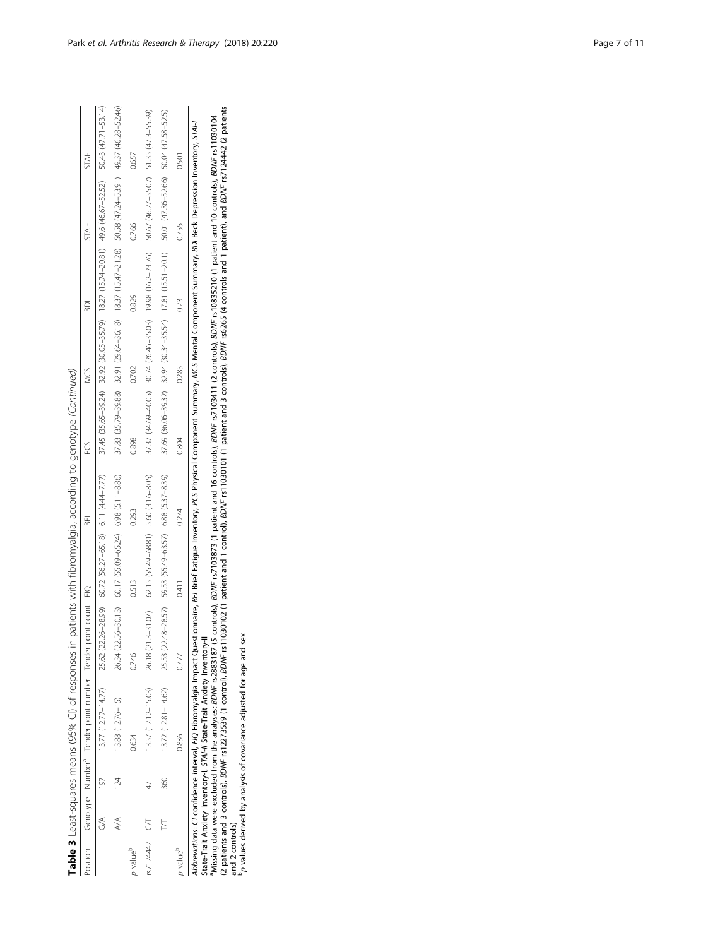|                      |   |     | Table 3 Least-squares means (95% CI) of responses in patients with fibromyalgia, according to genotype (Continued)                                                                                                                                                                                                                                                                                                                                                                                                            |                     |                                                          |       |       |                                                                                                     |       |                                        |              |
|----------------------|---|-----|-------------------------------------------------------------------------------------------------------------------------------------------------------------------------------------------------------------------------------------------------------------------------------------------------------------------------------------------------------------------------------------------------------------------------------------------------------------------------------------------------------------------------------|---------------------|----------------------------------------------------------|-------|-------|-----------------------------------------------------------------------------------------------------|-------|----------------------------------------|--------------|
|                      |   |     | Position Genotype Number <sup>a</sup> Tender point number Tender point count FIQ                                                                                                                                                                                                                                                                                                                                                                                                                                              |                     |                                                          |       |       |                                                                                                     |       | STAH                                   | <b>STAHI</b> |
|                      |   | 197 | $(13.77)(12.77 - 14.77)$ $25.62(22.26 - 28.99)$ $60.72(56.27 - 65.18)$ $6.11(4.44 - 7.77)$                                                                                                                                                                                                                                                                                                                                                                                                                                    |                     |                                                          |       |       | 37.45 (35.65-39.24) 32.92 (30.05-35.79) 18.27 (15.74-20.81) 49.6 (46.67-52.52) 50.43 (47.71-53.14)  |       |                                        |              |
|                      |   | 124 | 13.88 (12.76-15)                                                                                                                                                                                                                                                                                                                                                                                                                                                                                                              |                     | 26.34 (22.56-30.13) 60.17 (55.09-65.24) 6.98 (5.11-8.86) |       |       | 37.83 (35.79-39.88) 32.91 (29.64-36.18) 18.37 (15.47-21.28) 50.58 (47.24-53.91) 49.37 (46.28-52.46) |       |                                        |              |
| p value <sup>o</sup> |   |     | 0.634                                                                                                                                                                                                                                                                                                                                                                                                                                                                                                                         | 0.746               | 0.513                                                    | 0.293 | 0.898 | 0.702                                                                                               | 0.829 | 0.766                                  | 0.657        |
| rs7124442            | 5 |     | 13.57 (12.12-15.03)                                                                                                                                                                                                                                                                                                                                                                                                                                                                                                           | 26.18 (21.3-31.07)  | 62.15 (55.49-68.81) 5.60 (3.16-8.05)                     |       |       | 37.37 (34.69-40.05) 30.74 (26.46-35.03) 19.98 (16.2-23.76)                                          |       | 50.67 (46.27-55.07) 51.35 (47.3-55.39) |              |
|                      |   | 360 | $13.72(12.81 - 14.62)$                                                                                                                                                                                                                                                                                                                                                                                                                                                                                                        | 25.53 (22.48-28.57) | 59.53 (55.49-63.57) 6.88 (5.37-8.39)                     |       |       | 37.69 (36.06-39.32) 32.94 (30.34-35.54) 17.81 (15.51-20.1)                                          |       | 50.01 (47.36-52.66) 50.04 (47.58-52.5) |              |
| p value <sup>b</sup> |   |     | 0.836                                                                                                                                                                                                                                                                                                                                                                                                                                                                                                                         | 0.777               | 0.411                                                    | 0.274 | 0.804 | 0.285                                                                                               | 0.23  | 0.755                                  | 0.501        |
|                      |   |     | Abbreviations: CI confidence interval, FIQ Fibromyalgia Impact Questionnaire, BFI Brief Fatigue Inventory, PCS Physical Component Summary, MCS Mental Component Summary, BDI Beck Depression Inventory, STAI-I<br>download contract the contract of the contract of the contract of the contract of the contract of the contract of the contract of the contract of the contract of the contract of the contract of the contract of the contract<br>State-Trait Anxiety Inventory-I, STAI-II State-Trait Anxiety Inventory-II |                     |                                                          |       |       |                                                                                                     |       |                                        |              |

ግMising data were excluded from the analyses: *BDWF rs2883187* is controls), *BDWF rs103801* (12 controls), *BDWF rs10883210 (1 patient and 10 controls), BDWF rs11030104*<br>(2 patients and 3 controls), *BDWF rs1273539* (1 c (2 patients and 3 controls), BDNF rs12273539 (1 control), BDNF rs11030102 (1 patient and 1 control), BDNF rs11030101 (1 patient and 3 controls), BDNF rs6265 (4 controls and 1 patient), and BDNF rs7124442 (2 patients Missing data were excluded from the analyses: BDNF rs2883187 (5 controls), BDNF rs7103411 (2 controls), BDNF rs10835210 (1 patient and 10 controls), BDNF rs1030104 and 2 controls)

bp values derived by analysis of covariance adjusted for age and sex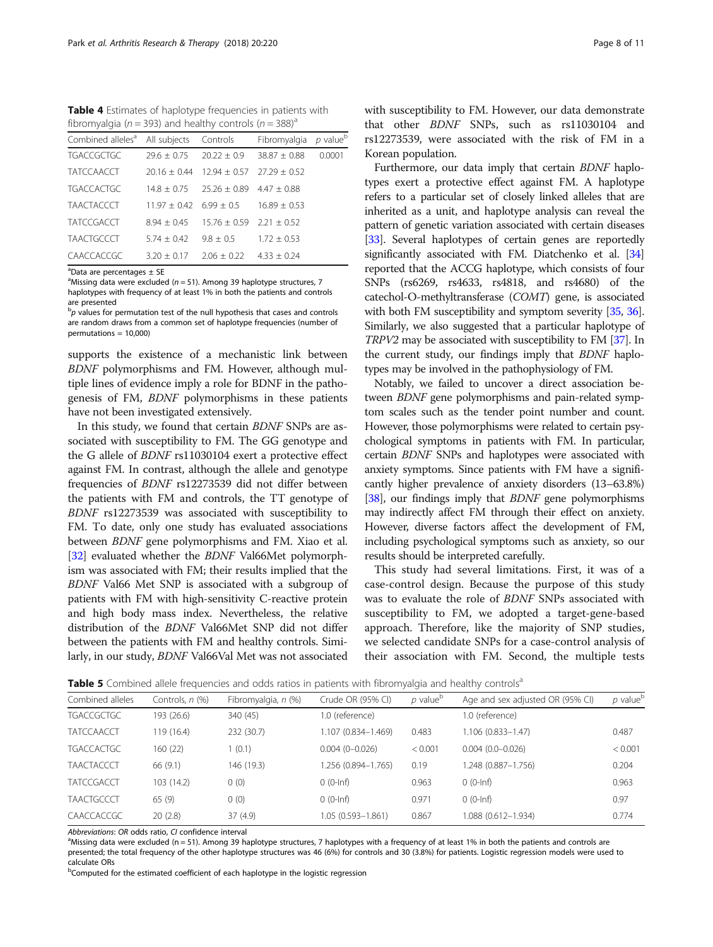<span id="page-7-0"></span>Table 4 Estimates of haplotype frequencies in patients with fibromyalgia ( $n = 393$ ) and healthy controls ( $n = 388$ )<sup>a</sup>

| Combined alleles <sup>a</sup> All subjects Controls |               |                                                  | Fibromyalgia $p$ value <sup>b</sup> |        |
|-----------------------------------------------------|---------------|--------------------------------------------------|-------------------------------------|--------|
| <b>TGACCGCTGC</b>                                   |               | $29.6 + 0.75$ $20.22 + 0.9$                      | $38.87 \pm 0.88$                    | 0.0001 |
| TATCCAACCT                                          |               | $20.16 + 0.44$ 12.94 + 0.57 27.29 + 0.52         |                                     |        |
| <b>TGACCACTGC</b>                                   | $14.8 + 0.75$ | $25.26 + 0.89$ 4.47 + 0.88                       |                                     |        |
| $TAACTACCCT$ 11.97 + 0.42 6.99 + 0.5 16.89 + 0.53   |               |                                                  |                                     |        |
| <b>TATCCGACCT</b>                                   |               | $8.94 \pm 0.45$ 15.76 $\pm$ 0.59 2.21 $\pm$ 0.52 |                                     |        |
| <b>TAACTGCCCT</b>                                   |               | $5.74 \pm 0.42$ $9.8 \pm 0.5$ $1.72 \pm 0.53$    |                                     |        |
| CAACCACCGC                                          |               | $3.20 + 0.17$ $2.06 + 0.22$ $4.33 + 0.24$        |                                     |        |

a Data are percentages ± SE

<sup>a</sup>Missing data were excluded ( $n = 51$ ). Among 39 haplotype structures, 7 haplotypes with frequency of at least 1% in both the patients and controls are presented

 $^{\text{b}}$ p values for permutation test of the null hypothesis that cases and controls are random draws from a common set of haplotype frequencies (number of permutations = 10,000)

supports the existence of a mechanistic link between BDNF polymorphisms and FM. However, although multiple lines of evidence imply a role for BDNF in the pathogenesis of FM, BDNF polymorphisms in these patients have not been investigated extensively.

In this study, we found that certain BDNF SNPs are associated with susceptibility to FM. The GG genotype and the G allele of BDNF rs11030104 exert a protective effect against FM. In contrast, although the allele and genotype frequencies of BDNF rs12273539 did not differ between the patients with FM and controls, the TT genotype of BDNF rs12273539 was associated with susceptibility to FM. To date, only one study has evaluated associations between BDNF gene polymorphisms and FM. Xiao et al. [[32](#page-10-0)] evaluated whether the *BDNF* Val66Met polymorphism was associated with FM; their results implied that the BDNF Val66 Met SNP is associated with a subgroup of patients with FM with high-sensitivity C-reactive protein and high body mass index. Nevertheless, the relative distribution of the BDNF Val66Met SNP did not differ between the patients with FM and healthy controls. Similarly, in our study, BDNF Val66Val Met was not associated with susceptibility to FM. However, our data demonstrate that other BDNF SNPs, such as rs11030104 and rs12273539, were associated with the risk of FM in a Korean population.

Furthermore, our data imply that certain BDNF haplotypes exert a protective effect against FM. A haplotype refers to a particular set of closely linked alleles that are inherited as a unit, and haplotype analysis can reveal the pattern of genetic variation associated with certain diseases [[33](#page-10-0)]. Several haplotypes of certain genes are reportedly significantly associated with FM. Diatchenko et al. [\[34](#page-10-0)] reported that the ACCG haplotype, which consists of four SNPs (rs6269, rs4633, rs4818, and rs4680) of the catechol-O-methyltransferase (COMT) gene, is associated with both FM susceptibility and symptom severity [\[35,](#page-10-0) [36](#page-10-0)]. Similarly, we also suggested that a particular haplotype of TRPV2 may be associated with susceptibility to FM [[37](#page-10-0)]. In the current study, our findings imply that BDNF haplotypes may be involved in the pathophysiology of FM.

Notably, we failed to uncover a direct association between BDNF gene polymorphisms and pain-related symptom scales such as the tender point number and count. However, those polymorphisms were related to certain psychological symptoms in patients with FM. In particular, certain BDNF SNPs and haplotypes were associated with anxiety symptoms. Since patients with FM have a significantly higher prevalence of anxiety disorders (13–63.8%) [[38](#page-10-0)], our findings imply that *BDNF* gene polymorphisms may indirectly affect FM through their effect on anxiety. However, diverse factors affect the development of FM, including psychological symptoms such as anxiety, so our results should be interpreted carefully.

This study had several limitations. First, it was of a case-control design. Because the purpose of this study was to evaluate the role of BDNF SNPs associated with susceptibility to FM, we adopted a target-gene-based approach. Therefore, like the majority of SNP studies, we selected candidate SNPs for a case-control analysis of their association with FM. Second, the multiple tests

**Table 5** Combined allele frequencies and odds ratios in patients with fibromyalgia and healthy controls<sup>a</sup>

| Combined alleles  | Controls, n (%) | Fibromyalgia, n (%) | Crude OR (95% CI)   | $p$ value <sup>b</sup> | Age and sex adjusted OR (95% CI) | $p$ value <sup>b</sup> |
|-------------------|-----------------|---------------------|---------------------|------------------------|----------------------------------|------------------------|
| <b>TGACCGCTGC</b> | 193 (26.6)      | 340 (45)            | 1.0 (reference)     |                        | 1.0 (reference)                  |                        |
| <b>TATCCAACCT</b> | 119 (16.4)      | 232 (30.7)          | 1.107 (0.834-1.469) | 0.483                  | $1.106(0.833 - 1.47)$            | 0.487                  |
| <b>TGACCACTGC</b> | 160(22)         | 1(0.1)              | $0.004(0 - 0.026)$  | < 0.001                | $0.004(0.0 - 0.026)$             | < 0.001                |
| <b>TAACTACCCT</b> | 66 (9.1)        | 146 (19.3)          | 1.256 (0.894-1.765) | 0.19                   | 1.248 (0.887-1.756)              | 0.204                  |
| <b>TATCCGACCT</b> | 103 (14.2)      | (0)                 | $0$ (0-lnf)         | 0.963                  | $0 (0 - lnf)$                    | 0.963                  |
| <b>TAACTGCCCT</b> | 65(9)           | (0)                 | $0(0-ln)$           | 0.971                  | $0(0-ln)$                        | 0.97                   |
| CAACCACCGC        | 20(2.8)         | 37(4.9)             | 1.05 (0.593-1.861)  | 0.867                  | 1.088 (0.612-1.934)              | 0.774                  |

Abbreviations: OR odds ratio, CI confidence interval

<sup>a</sup>Missing data were excluded (n = 51). Among 39 haplotype structures, 7 haplotypes with a frequency of at least 1% in both the patients and controls are presented; the total frequency of the other haplotype structures was 46 (6%) for controls and 30 (3.8%) for patients. Logistic regression models were used to calculate ORs

<sup>b</sup>Computed for the estimated coefficient of each haplotype in the logistic regression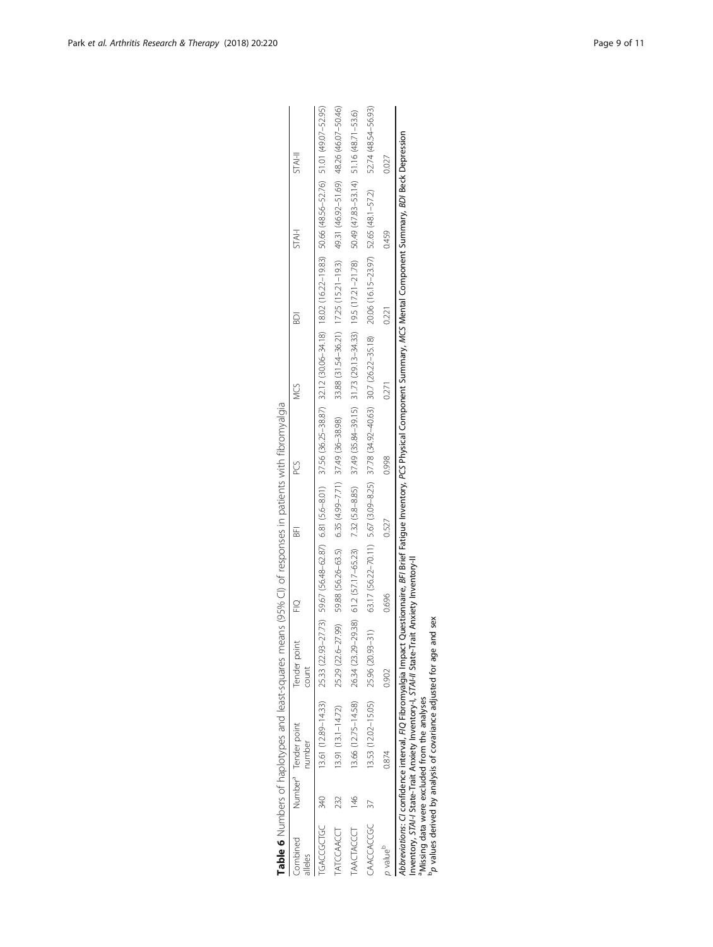<span id="page-8-0"></span>

|                      |     | אורי האינטריק אינטריק אינטריק אינטריק אינטריק אינטריק אינטריק אינטריק אינטריק אינטריק אינטריק אינטריק אינטריק א                                                                              |                                                                                                                                                                                 |                                                      |       |       |                                                                                                                                      |               |                     |
|----------------------|-----|----------------------------------------------------------------------------------------------------------------------------------------------------------------------------------------------|---------------------------------------------------------------------------------------------------------------------------------------------------------------------------------|------------------------------------------------------|-------|-------|--------------------------------------------------------------------------------------------------------------------------------------|---------------|---------------------|
| Combined<br>aleles   |     | Number <sup>a</sup> Tender point<br>number                                                                                                                                                   | Tender point<br>count                                                                                                                                                           |                                                      |       |       | š                                                                                                                                    | $\frac{1}{2}$ | STAI-II             |
| TGACCGCTGC 340       |     |                                                                                                                                                                                              | 13.61 (12.89-14.33) 25.33 (22.93-27.73) 59.67 (56.48-62.87) 6.81 (5.6-8.01) 37.56 (36.25-38.87) 32.12 (30.06-34.18) 18.02 (16.22-19.83) 50.66 (48.56-52.76) 51.01 (49.07-52.95) |                                                      |       |       |                                                                                                                                      |               |                     |
| <b>EATCCAACT</b>     | 232 | $13.91(13.1 - 14.72)$                                                                                                                                                                        | 25.29 (22.6-27.99)                                                                                                                                                              | 59.88 (56.26-63.5) 6.35 (4.99-7.71) 37.49 (36-38.98) |       |       | 33.88 (31.54-36.21) 17.25 (15.21-19.3) 49.31 (46.92-51.69) 48.26 (46.07-50.46)                                                       |               |                     |
| <b>TAACTACCT</b>     | 146 | 13.66 (12.75-14.58)                                                                                                                                                                          | 26.34 (23.29-29.38)                                                                                                                                                             |                                                      |       |       | 61.2 (57.17-65.23) 7.32 (5.8-8.85) 37.49 (35.84-99.15) 31.73 (29.13-34.33) 19.5 (17.21-21.78) 50.49 (47.83-53.14) 51.16 (48.71-53.6) |               |                     |
| CAACCACCGC           |     | 13.53 (12.02-15.05)                                                                                                                                                                          | 25.96 (20.93-31)                                                                                                                                                                |                                                      |       |       | 63.17 (56.22-70.11) 5.67 (3.09-8.25) 37.78 (34.92-40.63) 30.7 (26.22-35.18) 20.06 (16.15-23.97) 52.65 (48.1-57.2)                    |               | 52.74 (48.54-56.93) |
| p value <sup>b</sup> |     | 0.874                                                                                                                                                                                        | 0.902                                                                                                                                                                           | 0.696                                                | 0.527 | 0.998 | 0.271                                                                                                                                | 0.459         | 0.027               |
|                      |     | Abbreviations: CI confidence interval, FIQ Fibromyalgia Impact Questionnaire, BFI Brief Fatigue Inventory, PCS Physical Component Summary, MCS Mental Component Summary, BDI Beck Depression |                                                                                                                                                                                 |                                                      |       |       |                                                                                                                                      |               |                     |

Table 6 Numbers of banjotypes and least-squares means (95% CI) of responses in patients with fibromyalgia Table 6 Numbers of haplotypes and least-squares means (95% CI) of responses in patients with fibromyalgia

Invertory, STA: -I State-Trait E nixety on, או העוויו שפון הוא בעם השפות השפות השפות הוא היה שהיה של היה של ה<br>"Missing data were excluded from the analyses"<br>"Missing data were excluded from the analyses"<br>"P values derived Inventory, STAI-I State-Trait Anxiety Inventory-I, STAI-II State-Trait Anxiety Inventory-II

<sup>a</sup>Missing data were excluded from the analyses  $^b\!p}$  values derived by analysis of covariance adjusted for age and sex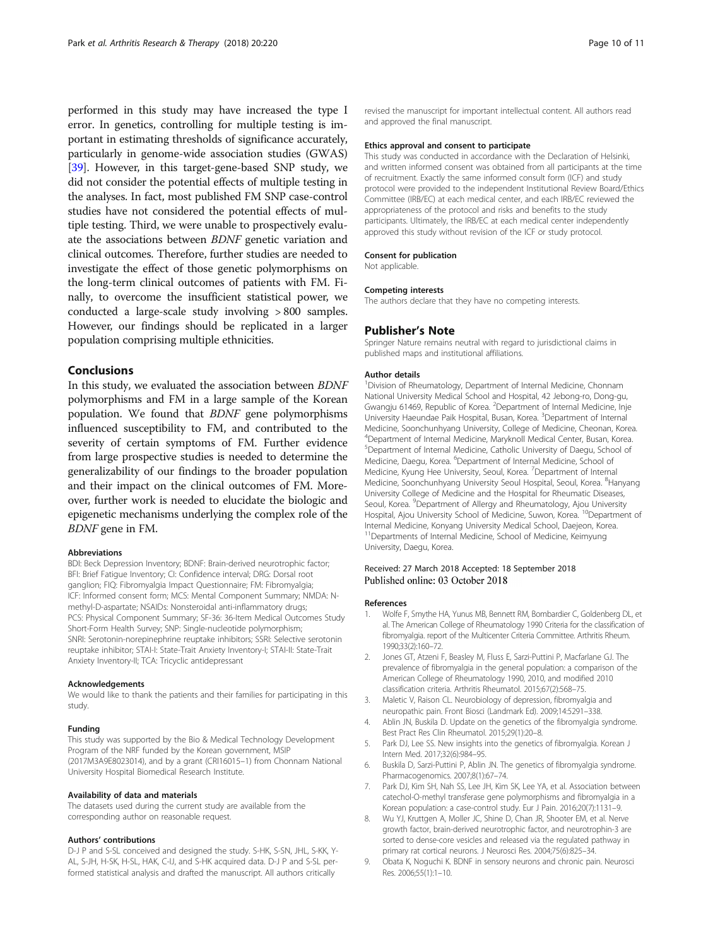<span id="page-9-0"></span>performed in this study may have increased the type I error. In genetics, controlling for multiple testing is important in estimating thresholds of significance accurately, particularly in genome-wide association studies (GWAS) [[39](#page-10-0)]. However, in this target-gene-based SNP study, we did not consider the potential effects of multiple testing in the analyses. In fact, most published FM SNP case-control studies have not considered the potential effects of multiple testing. Third, we were unable to prospectively evaluate the associations between BDNF genetic variation and clinical outcomes. Therefore, further studies are needed to investigate the effect of those genetic polymorphisms on the long-term clinical outcomes of patients with FM. Finally, to overcome the insufficient statistical power, we conducted a large-scale study involving > 800 samples. However, our findings should be replicated in a larger population comprising multiple ethnicities.

# Conclusions

In this study, we evaluated the association between BDNF polymorphisms and FM in a large sample of the Korean population. We found that BDNF gene polymorphisms influenced susceptibility to FM, and contributed to the severity of certain symptoms of FM. Further evidence from large prospective studies is needed to determine the generalizability of our findings to the broader population and their impact on the clinical outcomes of FM. Moreover, further work is needed to elucidate the biologic and epigenetic mechanisms underlying the complex role of the BDNF gene in FM.

#### Abbreviations

BDI: Beck Depression Inventory; BDNF: Brain-derived neurotrophic factor; BFI: Brief Fatigue Inventory; CI: Confidence interval; DRG: Dorsal root ganglion; FIQ: Fibromyalgia Impact Questionnaire; FM: Fibromyalgia; ICF: Informed consent form; MCS: Mental Component Summary; NMDA: Nmethyl-D-aspartate; NSAIDs: Nonsteroidal anti-inflammatory drugs; PCS: Physical Component Summary; SF-36: 36-Item Medical Outcomes Study Short-Form Health Survey; SNP: Single-nucleotide polymorphism; SNRI: Serotonin-norepinephrine reuptake inhibitors; SSRI: Selective serotonin reuptake inhibitor; STAI-I: State-Trait Anxiety Inventory-I; STAI-II: State-Trait Anxiety Inventory-II; TCA: Tricyclic antidepressant

#### Acknowledgements

We would like to thank the patients and their families for participating in this study.

#### Funding

This study was supported by the Bio & Medical Technology Development Program of the NRF funded by the Korean government, MSIP (2017M3A9E8023014), and by a grant (CRI16015–1) from Chonnam National University Hospital Biomedical Research Institute.

#### Availability of data and materials

The datasets used during the current study are available from the corresponding author on reasonable request.

#### Authors' contributions

D-J P and S-SL conceived and designed the study. S-HK, S-SN, JHL, S-KK, Y-AL, S-JH, H-SK, H-SL, HAK, C-IJ, and S-HK acquired data. D-J P and S-SL performed statistical analysis and drafted the manuscript. All authors critically

revised the manuscript for important intellectual content. All authors read and approved the final manuscript.

#### Ethics approval and consent to participate

This study was conducted in accordance with the Declaration of Helsinki, and written informed consent was obtained from all participants at the time of recruitment. Exactly the same informed consult form (ICF) and study protocol were provided to the independent Institutional Review Board/Ethics Committee (IRB/EC) at each medical center, and each IRB/EC reviewed the appropriateness of the protocol and risks and benefits to the study participants. Ultimately, the IRB/EC at each medical center independently approved this study without revision of the ICF or study protocol.

#### Consent for publication

Not applicable.

#### Competing interests

The authors declare that they have no competing interests.

#### Publisher's Note

Springer Nature remains neutral with regard to jurisdictional claims in published maps and institutional affiliations.

#### Author details

<sup>1</sup> Division of Rheumatology, Department of Internal Medicine, Chonnam National University Medical School and Hospital, 42 Jebong-ro, Dong-gu, Gwangju 61469, Republic of Korea. <sup>2</sup>Department of Internal Medicine, Inje University Haeundae Paik Hospital, Busan, Korea. <sup>3</sup>Department of Internal Medicine, Soonchunhyang University, College of Medicine, Cheonan, Korea. 4 Department of Internal Medicine, Maryknoll Medical Center, Busan, Korea. 5 Department of Internal Medicine, Catholic University of Daegu, School of Medicine, Daegu, Korea. <sup>6</sup>Department of Internal Medicine, School of Medicine, Kyung Hee University, Seoul, Korea. <sup>7</sup>Department of Internal Medicine, Soonchunhyang University Seoul Hospital, Seoul, Korea. <sup>8</sup>Hanyang University College of Medicine and the Hospital for Rheumatic Diseases, Seoul, Korea. <sup>9</sup>Department of Allergy and Rheumatology, Ajou University Hospital, Ajou University School of Medicine, Suwon, Korea. <sup>10</sup>Department of Internal Medicine, Konyang University Medical School, Daejeon, Korea. <sup>11</sup>Departments of Internal Medicine, School of Medicine, Keimyung University, Daegu, Korea.

#### Received: 27 March 2018 Accepted: 18 September 2018 Published online: 03 October 2018

#### References

- 1. Wolfe F, Smythe HA, Yunus MB, Bennett RM, Bombardier C, Goldenberg DL, et al. The American College of Rheumatology 1990 Criteria for the classification of fibromyalgia. report of the Multicenter Criteria Committee. Arthritis Rheum. 1990;33(2):160–72.
- 2. Jones GT, Atzeni F, Beasley M, Fluss E, Sarzi-Puttini P, Macfarlane GJ. The prevalence of fibromyalgia in the general population: a comparison of the American College of Rheumatology 1990, 2010, and modified 2010 classification criteria. Arthritis Rheumatol. 2015;67(2):568–75.
- 3. Maletic V, Raison CL. Neurobiology of depression, fibromyalgia and neuropathic pain. Front Biosci (Landmark Ed). 2009;14:5291–338.
- 4. Ablin JN, Buskila D. Update on the genetics of the fibromyalgia syndrome. Best Pract Res Clin Rheumatol. 2015;29(1):20–8.
- 5. Park DJ, Lee SS. New insights into the genetics of fibromyalgia. Korean J Intern Med. 2017;32(6):984–95.
- 6. Buskila D, Sarzi-Puttini P, Ablin JN. The genetics of fibromyalgia syndrome. Pharmacogenomics. 2007;8(1):67–74.
- 7. Park DJ, Kim SH, Nah SS, Lee JH, Kim SK, Lee YA, et al. Association between catechol-O-methyl transferase gene polymorphisms and fibromyalgia in a Korean population: a case-control study. Eur J Pain. 2016;20(7):1131–9.
- 8. Wu YJ, Kruttgen A, Moller JC, Shine D, Chan JR, Shooter EM, et al. Nerve growth factor, brain-derived neurotrophic factor, and neurotrophin-3 are sorted to dense-core vesicles and released via the regulated pathway in primary rat cortical neurons. J Neurosci Res. 2004;75(6):825–34.
- 9. Obata K, Noguchi K. BDNF in sensory neurons and chronic pain. Neurosci Res. 2006;55(1):1–10.